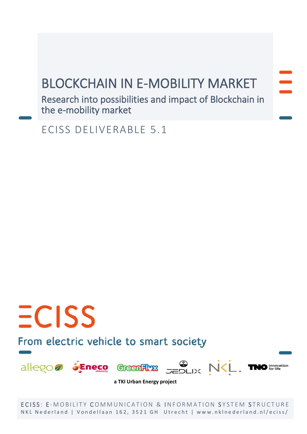## BLOCKCHAIN IN E-MOBILITY MARKET

Research into possibilities and impact of Blockchain in the e-mobility market

ECISS DELIVERABLE 5.1

# From electric vehicle to smart society

 $ECISS$ 



**a TKI Urban Energy project**

ECISS: E-MOBILITY COMMUNICATION & INFORMATION SYSTEM STRUCTURE NKL Nederland | Vondellaan 162, 3521 GH Utrecht | www.nklnederland.nl/eciss/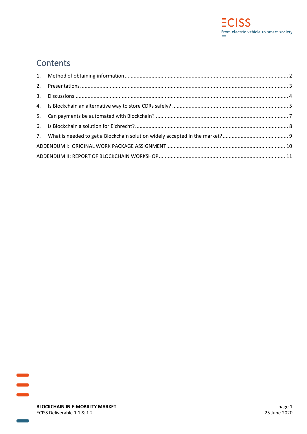

## **Contents**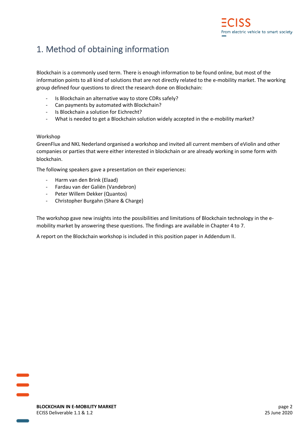## <span id="page-2-0"></span>1. Method of obtaining information

Blockchain is a commonly used term. There is enough information to be found online, but most of the information points to all kind of solutions that are not directly related to the e-mobility market. The working group defined four questions to direct the research done on Blockchain:

- Is Blockchain an alternative way to store CDRs safely?
- Can payments by automated with Blockchain?
- Is Blockchain a solution for Eichrecht?
- What is needed to get a Blockchain solution widely accepted in the e-mobility market?

## Workshop

GreenFlux and NKL Nederland organised a workshop and invited all current members of eViolin and other companies or parties that were either interested in blockchain or are already working in some form with blockchain.

The following speakers gave a presentation on their experiences:

- Harm van den Brink (Elaad)
- Fardau van der Galiën (Vandebron)
- Peter Willem Dekker (Quantos)
- Christopher Burgahn (Share & Charge)

The workshop gave new insights into the possibilities and limitations of Blockchain technology in the emobility market by answering these questions. The findings are available in Chapter 4 to 7.

A report on the Blockchain workshop is included in this position paper in Addendum II.

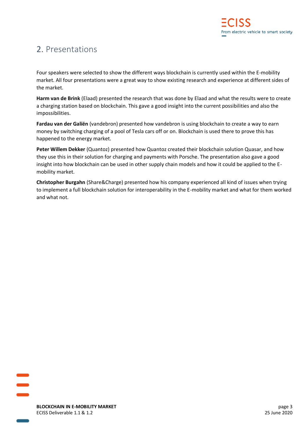## <span id="page-3-0"></span>2. Presentations

Four speakers were selected to show the different ways blockchain is currently used within the E-mobility market. All four presentations were a great way to show existing research and experience at different sides of the market.

**Harm van de Brink** (Elaad) presented the research that was done by Elaad and what the results were to create a charging station based on blockchain. This gave a good insight into the current possibilities and also the impossibilities.

**Fardau van der Galiën** (vandebron) presented how vandebron is using blockchain to create a way to earn money by switching charging of a pool of Tesla cars off or on. Blockchain is used there to prove this has happened to the energy market.

**Peter Willem Dekker** (Quantoz) presented how Quantoz created their blockchain solution Quasar, and how they use this in their solution for charging and payments with Porsche. The presentation also gave a good insight into how blockchain can be used in other supply chain models and how it could be applied to the Emobility market.

**Christopher Burgahn** (Share&Charge) presented how his company experienced all kind of issues when trying to implement a full blockchain solution for interoperability in the E-mobility market and what for them worked and what not.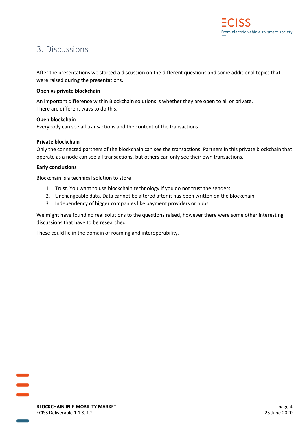## <span id="page-4-0"></span>3. Discussions

After the presentations we started a discussion on the different questions and some additional topics that were raised during the presentations.

## **Open vs private blockchain**

An important difference within Blockchain solutions is whether they are open to all or private. There are different ways to do this.

## **Open blockchain**

Everybody can see all transactions and the content of the transactions

## **Private blockchain**

Only the connected partners of the blockchain can see the transactions. Partners in this private blockchain that operate as a node can see all transactions, but others can only see their own transactions.

## **Early conclusions**

Blockchain is a technical solution to store

- 1. Trust. You want to use blockchain technology if you do not trust the senders
- 2. Unchangeable data. Data cannot be altered after it has been written on the blockchain
- 3. Independency of bigger companies like payment providers or hubs

We might have found no real solutions to the questions raised, however there were some other interesting discussions that have to be researched.

These could lie in the domain of roaming and interoperability.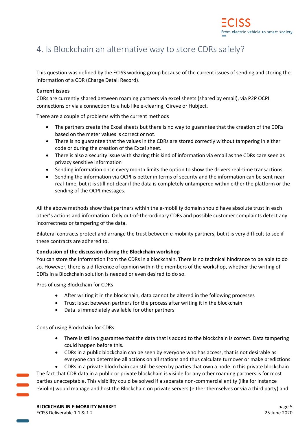## <span id="page-5-0"></span>4. Is Blockchain an alternative way to store CDRs safely?

This question was defined by the ECISS working group because of the current issues of sending and storing the information of a CDR (Charge Detail Record).

## **Current issues**

CDRs are currently shared between roaming partners via excel sheets (shared by email), via P2P OCPI connections or via a connection to a hub like e-clearing, Gireve or Hubject.

There are a couple of problems with the current methods

- The partners create the Excel sheets but there is no way to guarantee that the creation of the CDRs based on the meter values is correct or not.
- There is no guarantee that the values in the CDRs are stored correctly without tampering in either code or during the creation of the Excel sheet.
- There is also a security issue with sharing this kind of information via email as the CDRs care seen as privacy sensitive information
- Sending information once every month limits the option to show the drivers real-time transactions.
- Sending the information via OCPI is better in terms of security and the information can be sent near real-time, but it is still not clear if the data is completely untampered within either the platform or the sending of the OCPI messages.

All the above methods show that partners within the e-mobility domain should have absolute trust in each other's actions and information. Only out-of-the-ordinary CDRs and possible customer complaints detect any incorrectness or tampering of the data.

Bilateral contracts protect and arrange the trust between e-mobility partners, but it is very difficult to see if these contracts are adhered to.

## **Conclusion of the discussion during the Blockchain workshop**

You can store the information from the CDRs in a blockchain. There is no technical hindrance to be able to do so. However, there is a difference of opinion within the members of the workshop, whether the writing of CDRs in a Blockchain solution is needed or even desired to do so.

Pros of using Blockchain for CDRs

- After writing it in the blockchain, data cannot be altered in the following processes
- Trust is set between partners for the process after writing it in the blockchain
- Data is immediately available for other partners

Cons of using Blockchain for CDRs

- There is still no guarantee that the data that is added to the blockchain is correct. Data tampering could happen before this.
- CDRs in a public blockchain can be seen by everyone who has access, that is not desirable as everyone can determine all actions on all stations and thus calculate turnover or make predictions

• CDRs in a private blockchain can still be seen by parties that own a node in this private blockchain The fact that CDR data in a public or private blockchain is visible for any other roaming partners is for most parties unacceptable. This visibility could be solved if a separate non-commercial entity (like for instance eViolin) would manage and host the Blockchain on private servers (either themselves or via a third party) and

**BLOCKCHAIN IN E-MOBILITY MARKET** page 5 ECISS Deliverable 1.1 & 1.2 25 June 2020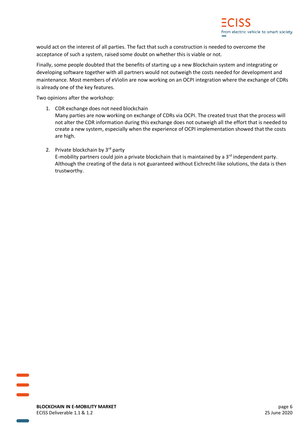would act on the interest of all parties. The fact that such a construction is needed to overcome the acceptance of such a system, raised some doubt on whether this is viable or not.

Finally, some people doubted that the benefits of starting up a new Blockchain system and integrating or developing software together with all partners would not outweigh the costs needed for development and maintenance. Most members of eViolin are now working on an OCPI integration where the exchange of CDRs is already one of the key features.

Two opinions after the workshop:

- 1. CDR exchange does not need blockchain Many parties are now working on exchange of CDRs via OCPI. The created trust that the process will not alter the CDR information during this exchange does not outweigh all the effort that is needed to create a new system, especially when the experience of OCPI implementation showed that the costs are high.
- 2. Private blockchain by  $3<sup>rd</sup>$  party E-mobility partners could join a private blockchain that is maintained by a  $3<sup>rd</sup>$  independent party. Although the creating of the data is not guaranteed without Eichrecht-like solutions, the data is then trustworthy.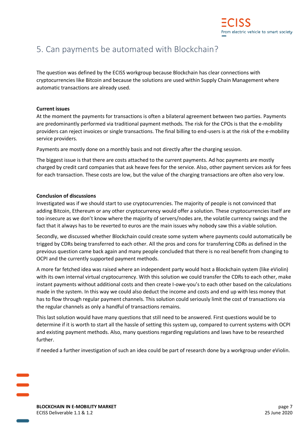

## <span id="page-7-0"></span>5. Can payments be automated with Blockchain?

The question was defined by the ECISS workgroup because Blockchain has clear connections with cryptocurrencies like Bitcoin and because the solutions are used within Supply Chain Management where automatic transactions are already used.

#### **Current issues**

At the moment the payments for transactions is often a bilateral agreement between two parties. Payments are predominantly performed via traditional payment methods. The risk for the CPOs is that the e-mobility providers can reject invoices or single transactions. The final billing to end-users is at the risk of the e-mobility service providers.

Payments are mostly done on a monthly basis and not directly after the charging session.

The biggest issue is that there are costs attached to the current payments. Ad hoc payments are mostly charged by credit card companies that ask heave fees for the service. Also, other payment services ask for fees for each transaction. These costs are low, but the value of the charging transactions are often also very low.

#### **Conclusion of discussions**

Investigated was if we should start to use cryptocurrencies. The majority of people is not convinced that adding Bitcoin, Ethereum or any other cryptocurrency would offer a solution. These cryptocurrencies itself are too insecure as we don't know where the majority of servers/nodes are, the volatile currency swings and the fact that it always has to be reverted to euros are the main issues why nobody saw this a viable solution.

Secondly, we discussed whether Blockchain could create some system where payments could automatically be trigged by CDRs being transferred to each other. All the pros and cons for transferring CDRs as defined in the previous question came back again and many people concluded that there is no real benefit from changing to OCPI and the currently supported payment methods.

A more far fetched idea was raised where an independent party would host a Blockchain system (like eViolin) with its own internal virtual cryptocurrency. With this solution we could transfer the CDRs to each other, make instant payments without additional costs and then create I-owe-you's to each other based on the calculations made in the system. In this way we could also deduct the income and costs and end up with less money that has to flow through regular payment channels. This solution could seriously limit the cost of transactions via the regular channels as only a handful of transactions remains.

This last solution would have many questions that still need to be answered. First questions would be to determine if it is worth to start all the hassle of setting this system up, compared to current systems with OCPI and existing payment methods. Also, many questions regarding regulations and laws have to be researched further.

If needed a further investigation of such an idea could be part of research done by a workgroup under eViolin.

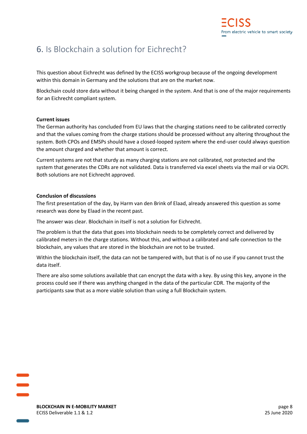## <span id="page-8-0"></span>6. Is Blockchain a solution for Eichrecht?

This question about Eichrecht was defined by the ECISS workgroup because of the ongoing development within this domain in Germany and the solutions that are on the market now.

Blockchain could store data without it being changed in the system. And that is one of the major requirements for an Eichrecht compliant system.

## **Current issues**

The German authority has concluded from EU laws that the charging stations need to be calibrated correctly and that the values coming from the charge stations should be processed without any altering throughout the system. Both CPOs and EMSPs should have a closed-looped system where the end-user could always question the amount charged and whether that amount is correct.

Current systems are not that sturdy as many charging stations are not calibrated, not protected and the system that generates the CDRs are not validated. Data is transferred via excel sheets via the mail or via OCPI. Both solutions are not Eichrecht approved.

#### **Conclusion of discussions**

The first presentation of the day, by Harm van den Brink of Elaad, already answered this question as some research was done by Elaad in the recent past.

The answer was clear. Blockchain in itself is not a solution for Eichrecht.

The problem is that the data that goes into blockchain needs to be completely correct and delivered by calibrated meters in the charge stations. Without this, and without a calibrated and safe connection to the blockchain, any values that are stored in the blockchain are not to be trusted.

Within the blockchain itself, the data can not be tampered with, but that is of no use if you cannot trust the data itself.

There are also some solutions available that can encrypt the data with a key. By using this key, anyone in the process could see if there was anything changed in the data of the particular CDR. The majority of the participants saw that as a more viable solution than using a full Blockchain system.

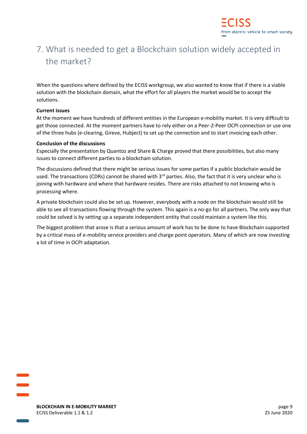

## <span id="page-9-0"></span>7. What is needed to get a Blockchain solution widely accepted in the market?

When the questions where defined by the ECISS workgroup, we also wanted to know that if there is a viable solution with the blockchain domain, what the effort for all players the market would be to accept the solutions.

## **Current issues**

At the moment we have hundreds of different entities in the European e-mobility market. It is very difficult to get those connected. At the moment partners have to rely either on a Peer-2-Peer OCPI connection or use one of the three hubs (e-clearing, Gireve, Hubject) to set up the connection and to start invoicing each other.

#### **Conclusion of the discussions**

Especially the presentation by Quantoz and Share & Charge proved that there possibilities, but also many issues to connect different parties to a blockchain solution.

The discussions defined that there might be serious issues for some parties if a public blockchain would be used. The transactions (CDRs) cannot be shared with 3<sup>rd</sup> parties. Also, the fact that it is very unclear who is joining with hardware and where that hardware resides. There are risks attached to not knowing who is processing where.

A private blockchain could also be set up. However, everybody with a node on the blockchain would still be able to see all transactions flowing through the system. This again is a no-go for all partners. The only way that could be solved is by setting up a separate independent entity that could maintain a system like this.

The biggest problem that arose is that a serious amount of work has to be done to have Blockchain supported by a critical mass of e-mobility service providers and charge point operators. Many of which are now investing a lot of time in OCPI adaptation.

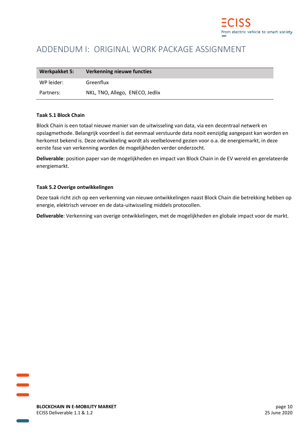

## <span id="page-10-0"></span>ADDENDUM I: ORIGINAL WORK PACKAGE ASSIGNMENT

| Werkpakket 5: | <b>Verkenning nieuwe functies</b> |
|---------------|-----------------------------------|
| WP leider:    | Greenflux                         |
| Partners:     | NKL, TNO, Allego, ENECO, Jedlix   |

#### **Taak 5.1 Block Chain**

Block Chain is een totaal nieuwe manier van de uitwisseling van data, via een decentraal netwerk en opslagmethode. Belangrijk voordeel is dat eenmaal verstuurde data nooit eenzijdig aangepast kan worden en herkomst bekend is. Deze ontwikkeling wordt als veelbelovend gezien voor o.a. de energiemarkt, in deze eerste fase van verkenning worden de mogelijkheden verder onderzocht.

**Deliverable**: position paper van de mogelijkheden en impact van Block Chain in de EV wereld en gerelateerde energiemarkt.

#### **Taak 5.2 Overige ontwikkelingen**

Deze taak richt zich op een verkenning van nieuwe ontwikkelingen naast Block Chain die betrekking hebben op energie, elektrisch vervoer en de data-uitwisseling middels protocollen.

**Deliverable**: Verkenning van overige ontwikkelingen, met de mogelijkheden en globale impact voor de markt.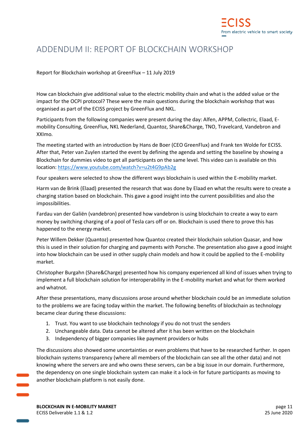

## <span id="page-11-0"></span>ADDENDUM II: REPORT OF BLOCKCHAIN WORKSHOP

Report for Blockchain workshop at GreenFlux – 11 July 2019

How can blockchain give additional value to the electric mobility chain and what is the added value or the impact for the OCPI protocol? These were the main questions during the blockchain workshop that was organised as part of the ECISS project by GreenFlux and NKL.

Participants from the following companies were present during the day: Alfen, APPM, Collectric, Elaad, Emobility Consulting, GreenFlux, NKL Nederland, Quantoz, Share&Charge, TNO, Travelcard, Vandebron and XXImo.

The meeting started with an introduction by Hans de Boer (CEO GreenFlux) and Frank ten Wolde for ECISS. After that, Peter van Zuylen started the event by defining the agenda and setting the baseline by showing a Blockchain for dummies video to get all participants on the same level. This video can is available on this location:<https://www.youtube.com/watch?v=u2t4G9pAb2g>

Four speakers were selected to show the different ways blockchain is used within the E-mobility market.

Harm van de Brink (Elaad) presented the research that was done by Elaad en what the results were to create a charging station based on blockchain. This gave a good insight into the current possibilities and also the impossibilities.

Fardau van der Galiën (vandebron) presented how vandebron is using blockchain to create a way to earn money by switching charging of a pool of Tesla cars off or on. Blockchain is used there to prove this has happened to the energy market.

Peter Willem Dekker (Quantoz) presented how Quantoz created their blockchain solution Quasar, and how this is used in their solution for charging and payments with Porsche. The presentation also gave a good insight into how blockchain can be used in other supply chain models and how it could be applied to the E-mobility market.

Christopher Burgahn (Share&Charge) presented how his company experienced all kind of issues when trying to implement a full blockchain solution for interoperability in the E-mobility market and what for them worked and whatnot.

After these presentations, many discussions arose around whether blockchain could be an immediate solution to the problems we are facing today within the market. The following benefits of blockchain as technology became clear during these discussions:

- 1. Trust. You want to use blockchain technology if you do not trust the senders
- 2. Unchangeable data. Data cannot be altered after it has been written on the blockchain
- 3. Independency of bigger companies like payment providers or hubs

The discussions also showed some uncertainties or even problems that have to be researched further. In open blockchain systems transparency (where all members of the blockchain can see all the other data) and not knowing where the servers are and who owns these servers, can be a big issue in our domain. Furthermore, the dependency on one single blockchain system can make it a lock-in for future participants as moving to another blockchain platform is not easily done.